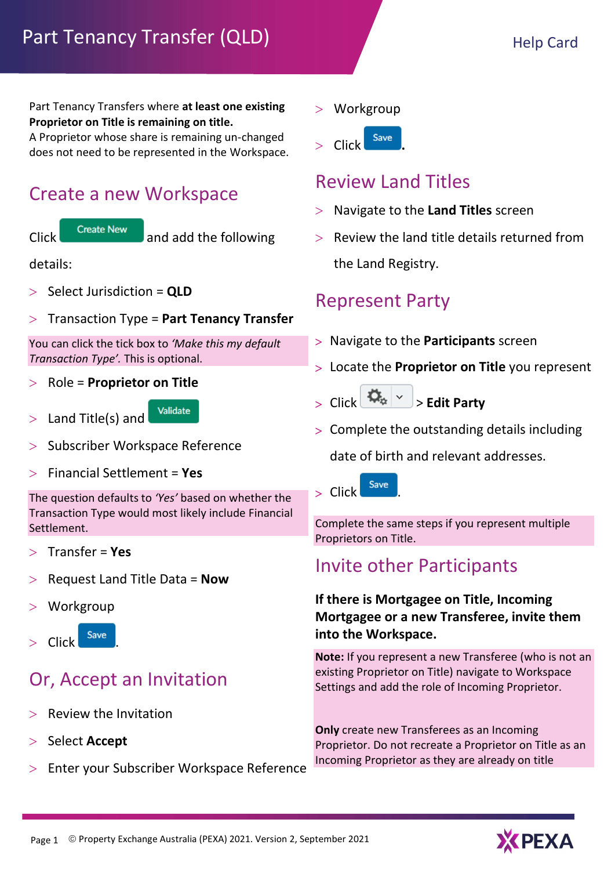Part Tenancy Transfers where at least one existing Proprietor on Title is remaining on title.

A Proprietor whose share is remaining un-changed does not need to be represented in the Workspace.

#### Create a new Workspace



 $Click$  Create New and add the following

details:

- $>$  Select Jurisdiction = QLD
- $>$  Transaction Type = Part Tenancy Transfer

You can click the tick box to 'Make this my default Transaction Type'. This is optional.

 $>$  Role = Proprietor on Title

Validate  $>$  Land Title(s) and

- > Subscriber Workspace Reference
- $>$  Financial Settlement = Yes

The question defaults to 'Yes' based on whether the Transaction Type would most likely include Financial Settlement.

- Transfer = Yes
- Request Land Title Data = Now
- Workgroup



## Or, Accept an Invitation

- Review the Invitation
- $>$  Select Accept
- Enter your Subscriber Workspace Reference
- Workgroup
- $\sum$  Click  $Save$

#### Review Land Titles

- $>$  Navigate to the Land Titles screen
- Review the land title details returned from the Land Registry.

#### Represent Party

- > Navigate to the **Participants** screen
- > Locate the Proprietor on Title you represent
- $>$  Click  $\left|\frac{dA_{\alpha}}{dt}\right| \times$  > Edit Party
- Complete the outstanding details including

date of birth and relevant addresses.

 $>$  Click  $\frac{Save}{E}$ 

Complete the same steps if you represent multiple Proprietors on Title.

#### Invite other Participants

#### If there is Mortgagee on Title, Incoming Mortgagee or a new Transferee, invite them into the Workspace.

Note: If you represent a new Transferee (who is not an existing Proprietor on Title) navigate to Workspace Settings and add the role of Incoming Proprietor.

Only create new Transferees as an Incoming Proprietor. Do not recreate a Proprietor on Title as an Incoming Proprietor as they are already on title

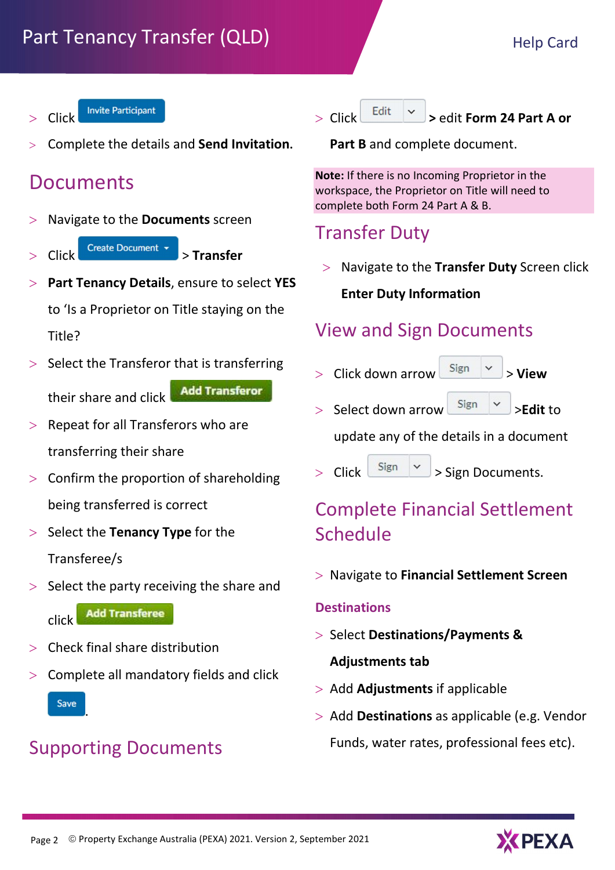- **Invite Participant** Click
- Complete the details and Send Invitation.

## Documents

- Navigate to the Documents screen
- $\left| \text{Click} \right|$  Create Document  $\left| \cdot \right|$  > Transfer
- Part Tenancy Details, ensure to select YES to 'Is a Proprietor on Title staying on the Title?
- $>$  Select the Transferor that is transferring **Add Transferor** their share and click
- $>$  Repeat for all Transferors who are transferring their share
- $>$  Confirm the proportion of shareholding being transferred is correct
- $>$  Select the Tenancy Type for the Transferee/s
- $>$  Select the party receiving the share and

**Add Transferee** click

- Check final share distribution
- $>$  Complete all mandatory fields and click

Save

.

#### Supporting Documents



Part **B** and complete document.

Note: If there is no Incoming Proprietor in the workspace, the Proprietor on Title will need to complete both Form 24 Part A & B.

#### Transfer Duty

 $>$  Navigate to the Transfer Duty Screen click Enter Duty Information

## View and Sign Documents

- $>$  Click down arrow  $\begin{array}{c}$  Sign  $\vert \vee \vert >$  View
- Select down arrow  $\begin{array}{c} \text{Sign} \\ \text{~} \end{array}$   $\begin{array}{c} \times \\ \times \end{array}$  >Edit to

update any of the details in a document

 $>$  Click  $\left[\begin{array}{c|c}\text{Sign} & \swarrow\end{array}\right]$  > Sign Documents.

## Complete Financial Settlement Schedule

Navigate to Financial Settlement Screen

#### **Destinations**

- $>$  Select Destinations/Payments & Adjustments tab
- $>$  Add Adjustments if applicable
- $>$  Add Destinations as applicable (e.g. Vendor Funds, water rates, professional fees etc).